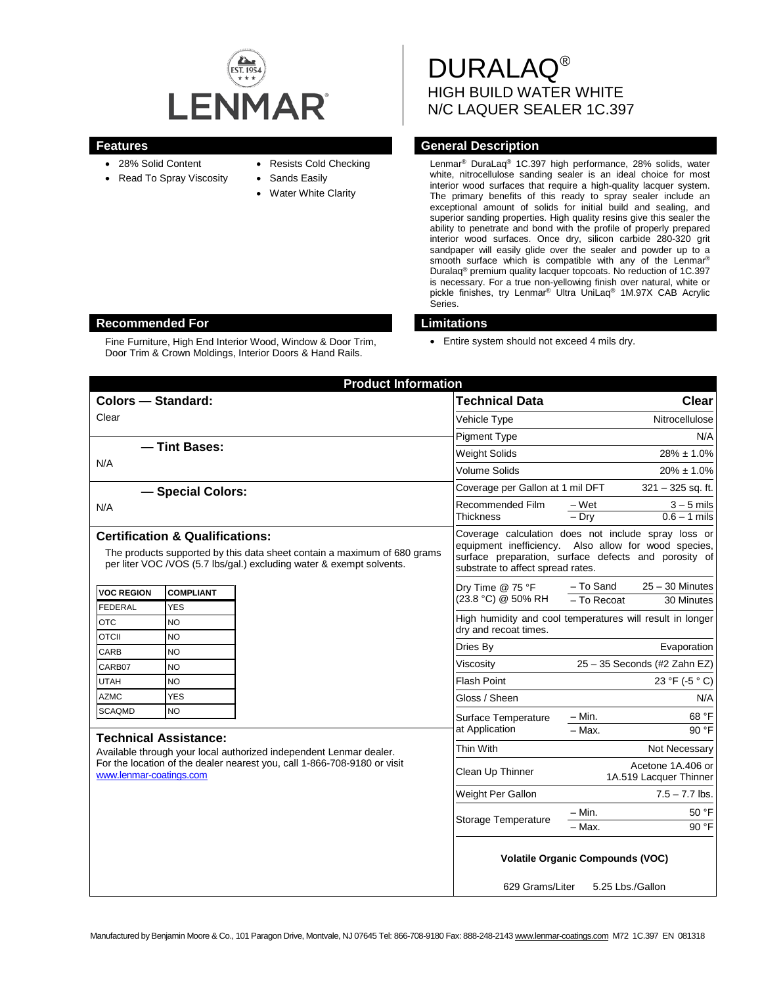

- 28% Solid Content
- Read To Spray Viscosity
- Resists Cold Checking
- Sands Easily
- **Water White Clarity**

DURALAQ® HIGH BUILD WATER WHITE N/C LAQUER SEALER 1C.397

## **Features General Description**

Lenmar® DuraLaq® 1C.397 high performance, 28% solids, water white, nitrocellulose sanding sealer is an ideal choice for most interior wood surfaces that require a high-quality lacquer system. The primary benefits of this ready to spray sealer include an exceptional amount of solids for initial build and sealing, and superior sanding properties. High quality resins give this sealer the ability to penetrate and bond with the profile of properly prepared interior wood surfaces. Once dry, silicon carbide 280-320 grit sandpaper will easily glide over the sealer and powder up to a smooth surface which is compatible with any of the Lenmar® Duralaq® premium quality lacquer topcoats. No reduction of 1C.397 is necessary. For a true non-yellowing finish over natural, white or pickle finishes, try Lenmar® Ultra UniLaq® 1M.97X CAB Acrylic Series.

## **Recommended For Limitations**

Fine Furniture, High End Interior Wood, Window & Door Trim, Door Trim & Crown Moldings, Interior Doors & Hand Rails.

• Entire system should not exceed 4 mils dry.

| <b>Product Information</b>                                                                                                                                                                     |                        |                     |                                                                                                                                                                                                          |                                             |                                |
|------------------------------------------------------------------------------------------------------------------------------------------------------------------------------------------------|------------------------|---------------------|----------------------------------------------------------------------------------------------------------------------------------------------------------------------------------------------------------|---------------------------------------------|--------------------------------|
| <b>Colors - Standard:</b>                                                                                                                                                                      |                        |                     | <b>Technical Data</b>                                                                                                                                                                                    |                                             | <b>Clear</b>                   |
| Clear                                                                                                                                                                                          |                        |                     | Vehicle Type                                                                                                                                                                                             |                                             | Nitrocellulose                 |
|                                                                                                                                                                                                |                        |                     | <b>Pigment Type</b>                                                                                                                                                                                      |                                             | N/A                            |
| - Tint Bases:                                                                                                                                                                                  |                        |                     | <b>Weight Solids</b>                                                                                                                                                                                     |                                             | $28\% \pm 1.0\%$               |
| N/A                                                                                                                                                                                            |                        |                     | <b>Volume Solids</b>                                                                                                                                                                                     |                                             | $20\% \pm 1.0\%$               |
| - Special Colors:                                                                                                                                                                              |                        |                     | Coverage per Gallon at 1 mil DFT                                                                                                                                                                         |                                             | $321 - 325$ sq. ft.            |
| N/A                                                                                                                                                                                            |                        |                     | Recommended Film<br><b>Thickness</b>                                                                                                                                                                     | – Wet<br>$-$ Drv                            | $3 - 5$ mils<br>$0.6 - 1$ mils |
| <b>Certification &amp; Qualifications:</b><br>The products supported by this data sheet contain a maximum of 680 grams<br>per liter VOC /VOS (5.7 lbs/gal.) excluding water & exempt solvents. |                        |                     | Coverage calculation does not include spray loss or<br>equipment inefficiency. Also allow for wood species,<br>surface preparation, surface defects and porosity of<br>substrate to affect spread rates. |                                             |                                |
| <b>VOC REGION</b>                                                                                                                                                                              | <b>COMPLIANT</b>       |                     | Dry Time @ 75 °F<br>(23.8 °C) @ 50% RH                                                                                                                                                                   | - To Sand                                   | $25 - 30$ Minutes              |
| <b>FEDERAL</b>                                                                                                                                                                                 | <b>YES</b>             |                     |                                                                                                                                                                                                          | - To Recoat                                 | 30 Minutes                     |
| <b>OTC</b><br><b>OTCII</b>                                                                                                                                                                     | <b>NO</b><br><b>NO</b> |                     | High humidity and cool temperatures will result in longer<br>dry and recoat times.                                                                                                                       |                                             |                                |
| CARB                                                                                                                                                                                           | NO                     |                     | Dries Bv                                                                                                                                                                                                 |                                             | Evaporation                    |
| CARB07                                                                                                                                                                                         | <b>NO</b>              |                     | Viscosity                                                                                                                                                                                                | 25 - 35 Seconds (#2 Zahn EZ)                |                                |
| <b>UTAH</b>                                                                                                                                                                                    | NO                     |                     | <b>Flash Point</b>                                                                                                                                                                                       |                                             | 23 °F (-5 °C)                  |
| <b>AZMC</b>                                                                                                                                                                                    | <b>YES</b>             |                     | Gloss / Sheen                                                                                                                                                                                            |                                             | N/A                            |
| <b>SCAQMD</b>                                                                                                                                                                                  | NO                     |                     | Surface Temperature                                                                                                                                                                                      | $- Min.$                                    | 68 °F                          |
| <b>Technical Assistance:</b>                                                                                                                                                                   |                        |                     | at Application                                                                                                                                                                                           | $-$ Max.                                    | 90 °F                          |
| Available through your local authorized independent Lenmar dealer.                                                                                                                             |                        |                     | Thin With                                                                                                                                                                                                |                                             | Not Necessary                  |
| For the location of the dealer nearest you, call 1-866-708-9180 or visit<br>www.lenmar-coatings.com                                                                                            |                        |                     | Clean Up Thinner                                                                                                                                                                                         | Acetone 1A.406 or<br>1A.519 Lacquer Thinner |                                |
|                                                                                                                                                                                                |                        | Weight Per Gallon   | $7.5 - 7.7$ lbs.                                                                                                                                                                                         |                                             |                                |
|                                                                                                                                                                                                |                        | Storage Temperature | $- Min.$                                                                                                                                                                                                 | 50 °F                                       |                                |
|                                                                                                                                                                                                |                        |                     | - Max.                                                                                                                                                                                                   | 90 °F                                       |                                |
|                                                                                                                                                                                                |                        |                     | <b>Volatile Organic Compounds (VOC)</b><br>629 Grams/Liter<br>5.25 Lbs./Gallon                                                                                                                           |                                             |                                |